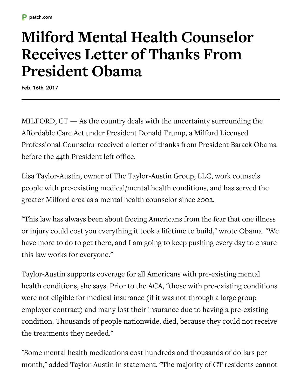## **Milford Mental Health Counselor Receives Letter of Thanks From President Obama**

Feb. 16th, 2017

MILFORD, CT — As the country deals with the uncertainty surrounding the Affordable Care Act under President Donald Trump, a Milford Licensed Professional Counselor received a letter of thanks from President Barack Obama before the 44th President left office.

Lisa Taylor-Austin, owner of The Taylor-Austin Group, LLC, work counsels people with pre-existing medical/mental health conditions, and has served the greater Milford area as a mental health counselor since 2002.

"This law has always been about freeing Americans from the fear that one illness or injury could cost you everything it took a lifetime to build," wrote Obama. "We have more to do to get there, and I am going to keep pushing every day to ensure this law works for everyone."

Taylor-Austin supports coverage for all Americans with pre-existing mental health conditions, she says. Prior to the ACA, "those with pre-existing conditions were not eligible for medical insurance (if it was not through a large group employer contract) and many lost their insurance due to having a pre-existing condition. Thousands of people nationwide, died, because they could not receive the treatments they needed."

"Some mental health medications cost hundreds and thousands of dollars per month," added Taylor-Austin in statement. "The majority of CT residents cannot